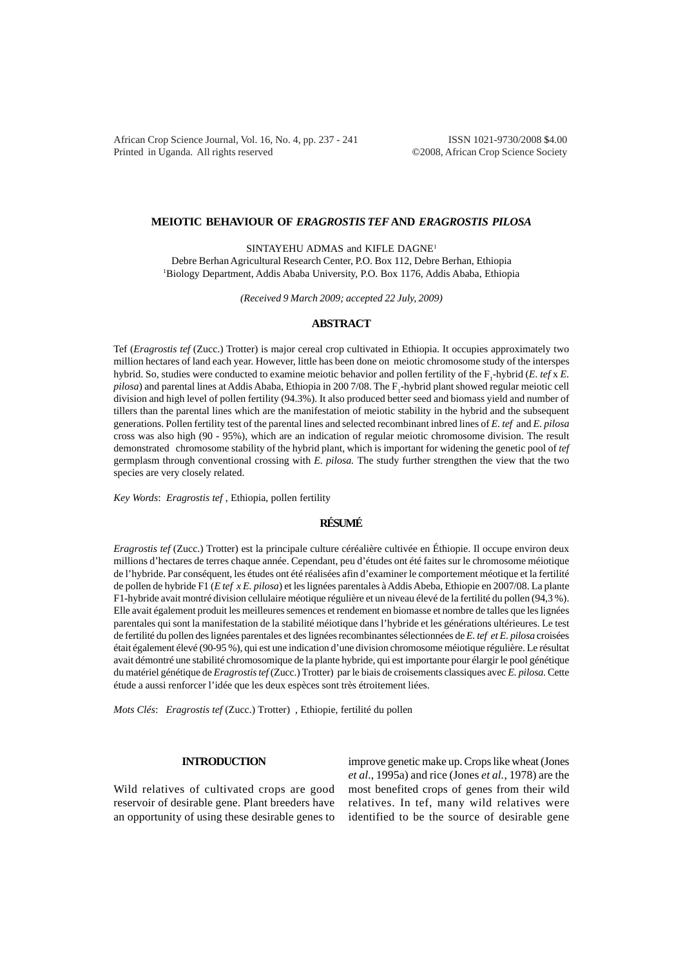African Crop Science Journal, Vol. 16, No. 4, pp. 237 - 241 **ISSN 1021-9730/2008 \$4.00** Printed in Uganda. All rights reserved ©2008, African Crop Science Society

### **MEIOTIC BEHAVIOUR OF** *ERAGROSTIS TEF* **AND** *ERAGROSTIS PILOSA*

SINTAYEHU ADMAS and KIFLE DAGNE1 Debre Berhan Agricultural Research Center, P.O. Box 112, Debre Berhan, Ethiopia 1 Biology Department, Addis Ababa University, P.O. Box 1176, Addis Ababa, Ethiopia

*(Received 9 March 2009; accepted 22 July, 2009)*

## **ABSTRACT**

Tef (*Eragrostis tef* (Zucc.) Trotter) is major cereal crop cultivated in Ethiopia. It occupies approximately two million hectares of land each year. However, little has been done on meiotic chromosome study of the interspes hybrid. So, studies were conducted to examine meiotic behavior and pollen fertility of the F<sub>1</sub>-hybrid (*E. tef* x *E.* pilosa) and parental lines at Addis Ababa, Ethiopia in 200 7/08. The F<sub>1</sub>-hybrid plant showed regular meiotic cell division and high level of pollen fertility (94.3%). It also produced better seed and biomass yield and number of tillers than the parental lines which are the manifestation of meiotic stability in the hybrid and the subsequent generations. Pollen fertility test of the parental lines and selected recombinant inbred lines of *E. tef* and *E. pilosa* cross was also high (90 - 95%), which are an indication of regular meiotic chromosome division. The result demonstrated chromosome stability of the hybrid plant, which is important for widening the genetic pool of *tef* germplasm through conventional crossing with *E. pilosa.* The study further strengthen the view that the two species are very closely related.

*Key Words*: *Eragrostis tef* , Ethiopia, pollen fertility

# **RÉSUMÉ**

*Eragrostis tef* (Zucc.) Trotter) est la principale culture céréalière cultivée en Éthiopie. Il occupe environ deux millions d'hectares de terres chaque année. Cependant, peu d'études ont été faites sur le chromosome méiotique de l'hybride. Par conséquent, les études ont été réalisées afin d'examiner le comportement méotique et la fertilité de pollen de hybride F1 (*E tef x E. pilosa*) et les lignées parentales à Addis Abeba, Ethiopie en 2007/08. La plante F1-hybride avait montré division cellulaire méotique régulière et un niveau élevé de la fertilité du pollen (94,3 %). Elle avait également produit les meilleures semences et rendement en biomasse et nombre de talles que les lignées parentales qui sont la manifestation de la stabilité méiotique dans l'hybride et les générations ultérieures. Le test de fertilité du pollen des lignées parentales et des lignées recombinantes sélectionnées de *E. tef et E. pilosa* croisées était également élevé (90-95 %), qui est une indication d'une division chromosome méiotique régulière. Le résultat avait démontré une stabilité chromosomique de la plante hybride, qui est importante pour élargir le pool génétique du matériel génétique de *Eragrostis tef* (Zucc.) Trotter) par le biais de croisements classiques avec *E. pilosa.* Cette étude a aussi renforcer l'idée que les deux espèces sont très étroitement liées.

*Mots Clés*: *Eragrostis tef* (Zucc.) Trotter) , Ethiopie, fertilité du pollen

# **INTRODUCTION**

Wild relatives of cultivated crops are good reservoir of desirable gene. Plant breeders have an opportunity of using these desirable genes to

improve genetic make up. Crops like wheat (Jones *et al*., 1995a) and rice (Jones *et al.*, 1978) are the most benefited crops of genes from their wild relatives. In tef, many wild relatives were identified to be the source of desirable gene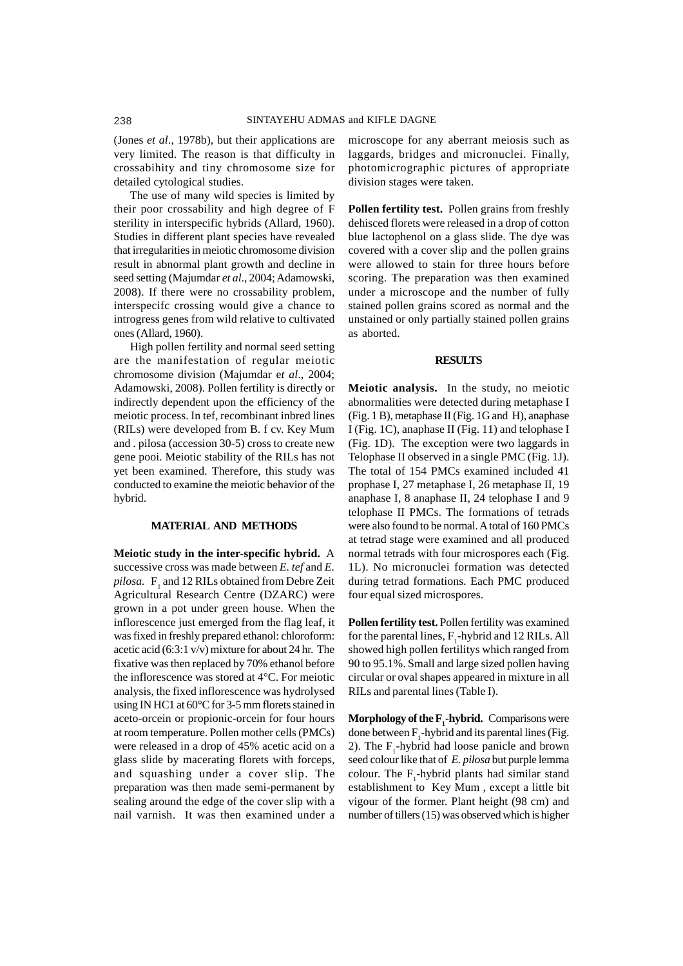(Jones *et al*., 1978b), but their applications are very limited. The reason is that difficulty in crossabihity and tiny chromosome size for detailed cytological studies.

The use of many wild species is limited by their poor crossability and high degree of F sterility in interspecific hybrids (Allard, 1960). Studies in different plant species have revealed that irregularities in meiotic chromosome division result in abnormal plant growth and decline in seed setting (Majumdar *et al*., 2004; Adamowski, 2008). If there were no crossability problem, interspecifc crossing would give a chance to introgress genes from wild relative to cultivated ones (Allard, 1960).

High pollen fertility and normal seed setting are the manifestation of regular meiotic chromosome division (Majumdar e*t al*., 2004; Adamowski, 2008). Pollen fertility is directly or indirectly dependent upon the efficiency of the meiotic process. In tef, recombinant inbred lines (RILs) were developed from B. f cv. Key Mum and . pilosa (accession 30-5) cross to create new gene pooi. Meiotic stability of the RILs has not yet been examined. Therefore, this study was conducted to examine the meiotic behavior of the hybrid.

### **MATERIAL AND METHODS**

**Meiotic study in the inter-specific hybrid.** A successive cross was made between *E. tef* and *E.* pilosa. F<sub>1</sub> and 12 RILs obtained from Debre Zeit Agricultural Research Centre (DZARC) were grown in a pot under green house. When the inflorescence just emerged from the flag leaf, it was fixed in freshly prepared ethanol: chloroform: acetic acid (6:3:1 v/v) mixture for about 24 hr. The fixative was then replaced by 70% ethanol before the inflorescence was stored at 4°C. For meiotic analysis, the fixed inflorescence was hydrolysed using IN HC1 at 60°C for 3-5 mm florets stained in aceto-orcein or propionic-orcein for four hours at room temperature. Pollen mother cells (PMCs) were released in a drop of 45% acetic acid on a glass slide by macerating florets with forceps, and squashing under a cover slip. The preparation was then made semi-permanent by sealing around the edge of the cover slip with a nail varnish. It was then examined under a microscope for any aberrant meiosis such as laggards, bridges and micronuclei. Finally, photomicrographic pictures of appropriate division stages were taken.

**Pollen fertility test.** Pollen grains from freshly dehisced florets were released in a drop of cotton blue lactophenol on a glass slide. The dye was covered with a cover slip and the pollen grains were allowed to stain for three hours before scoring. The preparation was then examined under a microscope and the number of fully stained pollen grains scored as normal and the unstained or only partially stained pollen grains as aborted.

#### **RESULTS**

**Meiotic analysis.** In the study, no meiotic abnormalities were detected during metaphase I (Fig. 1 B), metaphase II (Fig. 1G and H), anaphase I (Fig. 1C), anaphase II (Fig. 11) and telophase I (Fig. 1D). The exception were two laggards in Telophase II observed in a single PMC (Fig. 1J). The total of 154 PMCs examined included 41 prophase I, 27 metaphase I, 26 metaphase II, 19 anaphase I, 8 anaphase II, 24 telophase I and 9 telophase II PMCs. The formations of tetrads were also found to be normal. A total of 160 PMCs at tetrad stage were examined and all produced normal tetrads with four microspores each (Fig. 1L). No micronuclei formation was detected during tetrad formations. Each PMC produced four equal sized microspores.

**Pollen fertility test.** Pollen fertility was examined for the parental lines,  $F_1$ -hybrid and 12 RILs. All showed high pollen fertilitys which ranged from 90 to 95.1%. Small and large sized pollen having circular or oval shapes appeared in mixture in all RILs and parental lines (Table I).

**Morphology of the**  $\mathbf{F}_1$ **-hybrid.** Comparisons were done between  $F_1$ -hybrid and its parental lines (Fig. 2). The  $F_1$ -hybrid had loose panicle and brown seed colour like that of *E. pilosa* but purple lemma colour. The  $F_1$ -hybrid plants had similar stand establishment to Key Mum , except a little bit vigour of the former. Plant height (98 cm) and number of tillers (15) was observed which is higher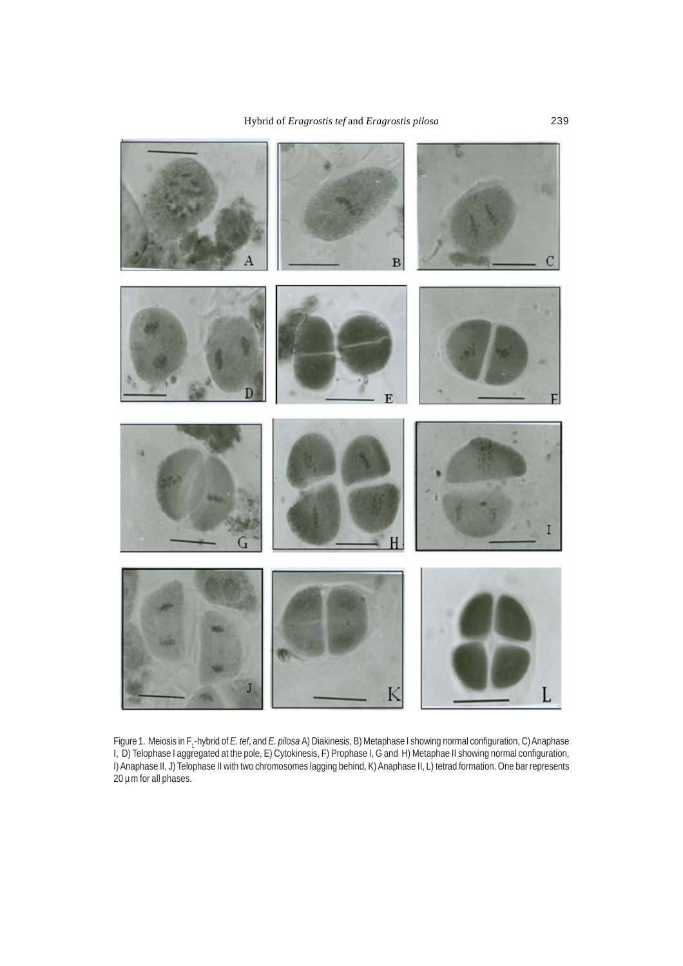

Figure 1. Meiosis in F<sub>1</sub>-hybrid of *E. tef*, and *E. pilosa* A) Diakinesis, B) Metaphase I showing normal configuration, C) Anaphase I, D) Telophase I aggregated at the pole, E) Cytokinesis, F) Prophase I, G and H) Metaphae II showing normal configuration, I) Anaphase II, J) Telophase II with two chromosomes lagging behind, K) Anaphase II, L) tetrad formation. One bar represents 20 µm for all phases.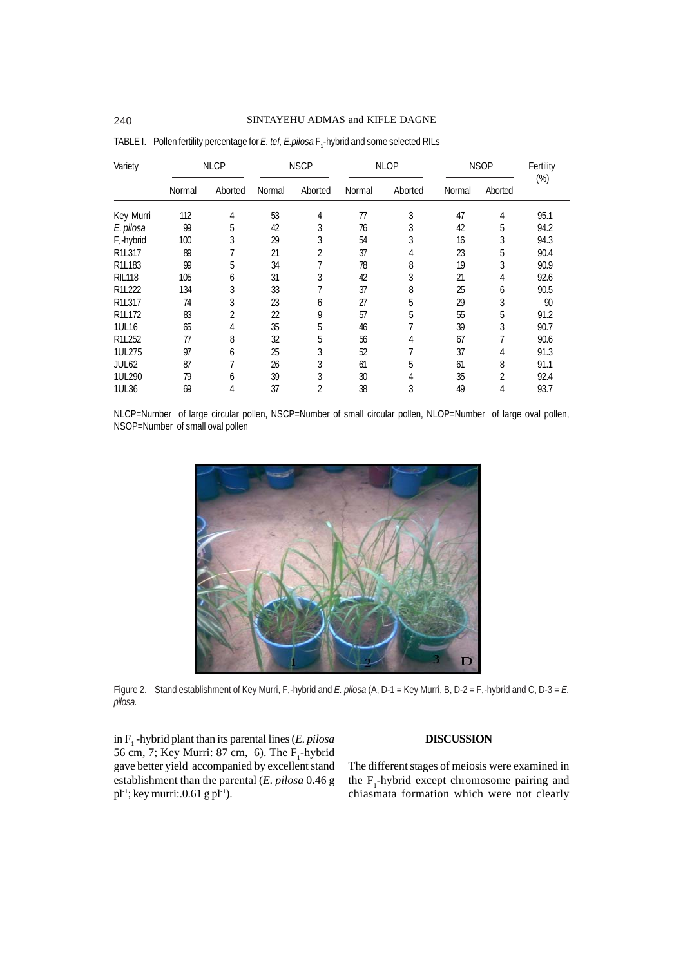| Variety                         | <b>NLCP</b> |         | <b>NSCP</b> |         | <b>NLOP</b> |         | <b>NSOP</b> |                | Fertility<br>$(\%)$ |
|---------------------------------|-------------|---------|-------------|---------|-------------|---------|-------------|----------------|---------------------|
|                                 | Normal      | Aborted | Normal      | Aborted | Normal      | Aborted | Normal      | Aborted        |                     |
| Key Murri                       | 112         | 4       | 53          | 4       | 77          | 3       | 47          | 4              | 95.1                |
| E. pilosa                       | 99          | 5       | 42          | 3       | 76          | 3       | 42          | 5              | 94.2                |
| $F_1$ -hybrid                   | 100         | 3       | 29          | 3       | 54          | 3       | 16          | 3              | 94.3                |
| R1L317                          | 89          |         | 21          | 2       | 37          | 4       | 23          | 5              | 90.4                |
| R1L183                          | 99          | 5       | 34          | 7       | 78          | 8       | 19          | 3              | 90.9                |
| <b>RIL118</b>                   | 105         | 6       | 31          | 3       | 42          | 3       | 21          | 4              | 92.6                |
| R1L222                          | 134         | 3       | 33          | 7       | 37          | 8       | 25          | 6              | 90.5                |
| R1L317                          | 74          | 3       | 23          | 6       | 27          | 5       | 29          | 3              | 90                  |
| R <sub>1</sub> L <sub>172</sub> | 83          | 2       | 22          | 9       | 57          | 5       | 55          | 5              | 91.2                |
| 1UL16                           | 65          | 4       | 35          | 5       | 46          |         | 39          | 3              | 90.7                |
| R1L252                          | 77          | 8       | 32          | 5       | 56          | 4       | 67          | 7              | 90.6                |
| 1UL275                          | 97          | 6       | 25          | 3       | 52          |         | 37          | 4              | 91.3                |
| JUL <sub>62</sub>               | 87          |         | 26          | 3       | 61          | 5       | 61          | 8              | 91.1                |
| 1UL290                          | 79          | 6       | 39          | 3       | 30          | 4       | 35          | $\overline{2}$ | 92.4                |
| 1UL36                           | 69          | 4       | 37          | 2       | 38          | 3       | 49          | 4              | 93.7                |

TABLE I. Pollen fertility percentage for *E. tef, E.pilosa* F<sub>1</sub>-hybrid and some selected RILs

NLCP=Number of large circular pollen, NSCP=Number of small circular pollen, NLOP=Number of large oval pollen, NSOP=Number of small oval pollen



Figure 2. Stand establishment of Key Murri, F<sub>1</sub>-hybrid and *E. pilosa* (A, D-1 = Key Murri, B, D-2 = F<sub>1</sub>-hybrid and C, D-3 = *E. pilosa.*

in F1 -hybrid plant than its parental lines (*E. pilosa* 56 cm, 7; Key Murri: 87 cm, 6). The  $F_1$ -hybrid gave better yield accompanied by excellent stand establishment than the parental (*E. pilosa* 0.46 g  $pl^{-1}$ ; key murri:.0.61 g pl<sup>-1</sup>).

## **DISCUSSION**

The different stages of meiosis were examined in the  $F_1$ -hybrid except chromosome pairing and chiasmata formation which were not clearly